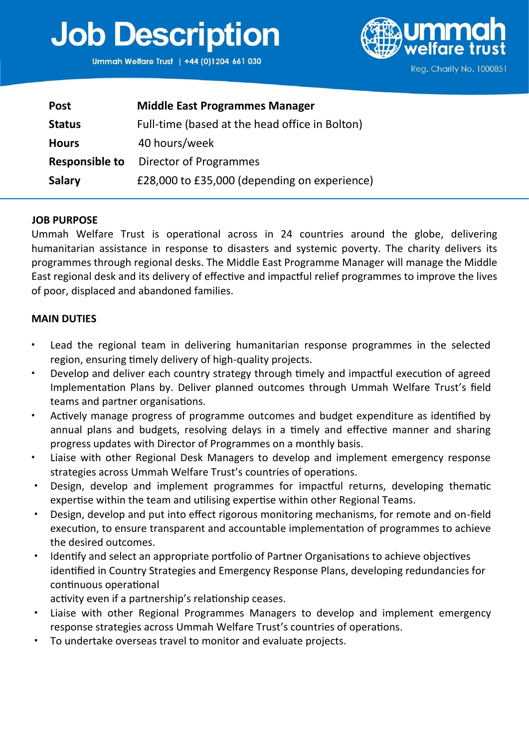# **Job Description**

Ummah Welfare Trust | +44 (0)1204 661 030



| <b>Post</b>           | <b>Middle East Programmes Manager</b>          |
|-----------------------|------------------------------------------------|
| <b>Status</b>         | Full-time (based at the head office in Bolton) |
| <b>Hours</b>          | 40 hours/week                                  |
| <b>Responsible to</b> | Director of Programmes                         |
| <b>Salary</b>         | £28,000 to £35,000 (depending on experience)   |

#### **JOB PURPOSE**

Ummah Welfare Trust is operational across in 24 countries around the globe, delivering humanitarian assistance in response to disasters and systemic poverty. The charity delivers its programmes through regional desks. The Middle East Programme Manager will manage the Middle East regional desk and its delivery of effective and impactful relief programmes to improve the lives of poor, displaced and abandoned families.

#### **MAIN DUTIES**

- Lead the regional team in delivering humanitarian response programmes in the selected region, ensuring timely delivery of high-quality projects.
- Develop and deliver each country strategy through timely and impactful execution of agreed Implementation Plans by. Deliver planned outcomes through Ummah Welfare Trust's field teams and partner organisations.
- Actively manage progress of programme outcomes and budget expenditure as identified by annual plans and budgets, resolving delays in a timely and effective manner and sharing progress updates with Director of Programmes on a monthly basis.
- Liaise with other Regional Desk Managers to develop and implement emergency response strategies across Ummah Welfare Trust's countries of operations.
- Design, develop and implement programmes for impactful returns, developing thematic expertise within the team and utilising expertise within other Regional Teams.
- Design, develop and put into effect rigorous monitoring mechanisms, for remote and on-field execution, to ensure transparent and accountable implementation of programmes to achieve the desired outcomes.
- Identify and select an appropriate portfolio of Partner Organisations to achieve objectives identified in Country Strategies and Emergency Response Plans, developing redundancies for continuous operational
	- activity even if a partnership's relationship ceases.
- Liaise with other Regional Programmes Managers to develop and implement emergency response strategies across Ummah Welfare Trust's countries of operations.
- To undertake overseas travel to monitor and evaluate projects.